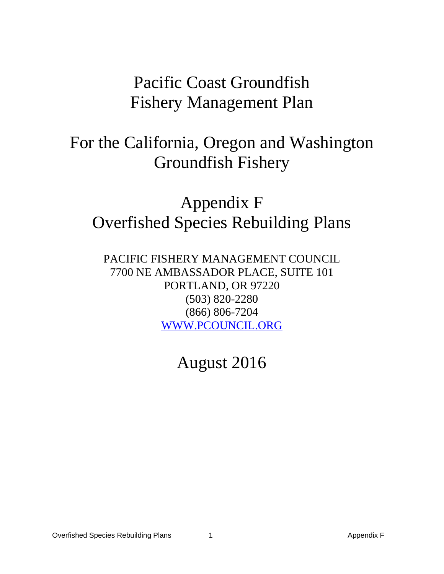# Pacific Coast Groundfish Fishery Management Plan

# For the California, Oregon and Washington Groundfish Fishery

# Appendix F Overfished Species Rebuilding Plans

PACIFIC FISHERY MANAGEMENT COUNCIL 7700 NE AMBASSADOR PLACE, SUITE 101 PORTLAND, OR 97220 (503) 820-2280 (866) 806-7204 [WWW.PCOUNCIL.ORG](http://www.pcouncil.org/)

August 2016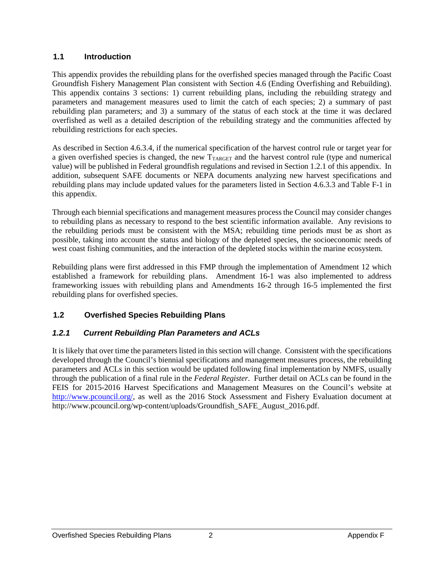# **1.1 Introduction**

This appendix provides the rebuilding plans for the overfished species managed through the Pacific Coast Groundfish Fishery Management Plan consistent with Section 4.6 (Ending Overfishing and Rebuilding). This appendix contains 3 sections: 1) current rebuilding plans, including the rebuilding strategy and parameters and management measures used to limit the catch of each species; 2) a summary of past rebuilding plan parameters; and 3) a summary of the status of each stock at the time it was declared overfished as well as a detailed description of the rebuilding strategy and the communities affected by rebuilding restrictions for each species.

As described in Section 4.6.3.4, if the numerical specification of the harvest control rule or target year for a given overfished species is changed, the new  $T_{\text{TARGE}}$  and the harvest control rule (type and numerical value) will be published in Federal groundfish regulations and revised in Section [1.2.1](#page-1-0) of this appendix. In addition, subsequent SAFE documents or NEPA documents analyzing new harvest specifications and rebuilding plans may include updated values for the parameters listed in Section 4.6.3.3 and [Table F-1](#page-2-0) in this appendix.

Through each biennial specifications and management measures process the Council may consider changes to rebuilding plans as necessary to respond to the best scientific information available. Any revisions to the rebuilding periods must be consistent with the MSA; rebuilding time periods must be as short as possible, taking into account the status and biology of the depleted species, the socioeconomic needs of west coast fishing communities, and the interaction of the depleted stocks within the marine ecosystem.

Rebuilding plans were first addressed in this FMP through the implementation of Amendment 12 which established a framework for rebuilding plans. Amendment 16-1 was also implemented to address frameworking issues with rebuilding plans and Amendments 16-2 through 16-5 implemented the first rebuilding plans for overfished species.

# **1.2 Overfished Species Rebuilding Plans**

# <span id="page-1-0"></span>*1.2.1 Current Rebuilding Plan Parameters and ACLs*

It is likely that over time the parameters listed in this section will change. Consistent with the specifications developed through the Council's biennial specifications and management measures process, the rebuilding parameters and ACLs in this section would be updated following final implementation by NMFS, usually through the publication of a final rule in the *Federal Register*. Further detail on ACLs can be found in the FEIS for 2015-2016 Harvest Specifications and Management Measures on the Council's website at [http://www.pcouncil.org/,](http://www.pcouncil.org/) as well as the 2016 Stock Assessment and Fishery Evaluation document at http://www.pcouncil.org/wp-content/uploads/Groundfish\_SAFE\_August\_2016.pdf.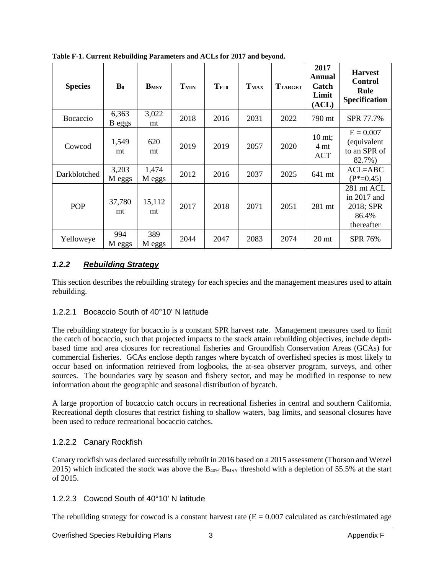| <b>Species</b>  | $\mathbf{B}_0$  | <b>B</b> <sub>MSY</sub> | T <sub>MIN</sub> | $T_{F=0}$ | $T_{MAX}$ | <b>TTARGET</b> | 2017<br>Annual<br>Catch<br>Limit<br>(ACL) | <b>Harvest</b><br><b>Control</b><br>Rule<br>Specification       |
|-----------------|-----------------|-------------------------|------------------|-----------|-----------|----------------|-------------------------------------------|-----------------------------------------------------------------|
| <b>Bocaccio</b> | 6,363<br>B eggs | 3,022<br>mt             | 2018             | 2016      | 2031      | 2022           | 790 mt                                    | SPR 77.7%                                                       |
| Cowcod          | 1,549<br>mt     | 620<br>mt               | 2019             | 2019      | 2057      | 2020           | 10 mt;<br>4 mt<br><b>ACT</b>              | $E = 0.007$<br>(equivalent<br>to an SPR of<br>82.7%)            |
| Darkblotched    | 3,203<br>M eggs | 1,474<br>M eggs         | 2012             | 2016      | 2037      | 2025           | 641 mt                                    | $ACL = ABC$<br>$(P^*=0.45)$                                     |
| POP             | 37,780<br>mt    | 15,112<br>mt            | 2017             | 2018      | 2071      | 2051           | 281 mt                                    | 281 mt ACL<br>in $2017$ and<br>2018; SPR<br>86.4%<br>thereafter |
| Yelloweye       | 994<br>M eggs   | 389<br>M eggs           | 2044             | 2047      | 2083      | 2074           | 20 <sub>mt</sub>                          | <b>SPR 76%</b>                                                  |

<span id="page-2-0"></span>**Table F-1. Current Rebuilding Parameters and ACLs for 2017 and beyond.**

# *1.2.2 Rebuilding Strategy*

This section describes the rebuilding strategy for each species and the management measures used to attain rebuilding.

#### 1.2.2.1 Bocaccio South of 40°10' N latitude

The rebuilding strategy for bocaccio is a constant SPR harvest rate. Management measures used to limit the catch of bocaccio, such that projected impacts to the stock attain rebuilding objectives, include depthbased time and area closures for recreational fisheries and Groundfish Conservation Areas (GCAs) for commercial fisheries. GCAs enclose depth ranges where bycatch of overfished species is most likely to occur based on information retrieved from logbooks, the at-sea observer program, surveys, and other sources. The boundaries vary by season and fishery sector, and may be modified in response to new information about the geographic and seasonal distribution of bycatch.

A large proportion of bocaccio catch occurs in recreational fisheries in central and southern California. Recreational depth closures that restrict fishing to shallow waters, bag limits, and seasonal closures have been used to reduce recreational bocaccio catches.

# 1.2.2.2 Canary Rockfish

Canary rockfish was declared successfully rebuilt in 2016 based on a 2015 assessment [\(Thorson and Wetzel](#page-19-0)  [2015\)](#page-19-0) which indicated the stock was above the  $B_{40\%}$  B<sub>MSY</sub> threshold with a depletion of 55.5% at the start of 2015.

# 1.2.2.3 Cowcod South of 40°10' N latitude

The rebuilding strategy for cowcod is a constant harvest rate  $(E = 0.007$  calculated as catch/estimated age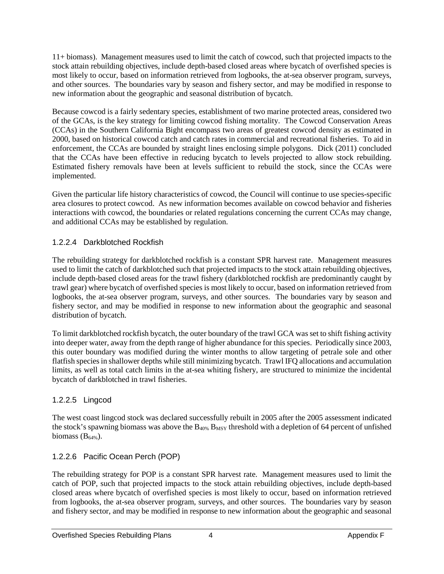11+ biomass). Management measures used to limit the catch of cowcod, such that projected impacts to the stock attain rebuilding objectives, include depth-based closed areas where bycatch of overfished species is most likely to occur, based on information retrieved from logbooks, the at-sea observer program, surveys, and other sources. The boundaries vary by season and fishery sector, and may be modified in response to new information about the geographic and seasonal distribution of bycatch.

Because cowcod is a fairly sedentary species, establishment of two marine protected areas, considered two of the GCAs, is the key strategy for limiting cowcod fishing mortality. The Cowcod Conservation Areas (CCAs) in the Southern California Bight encompass two areas of greatest cowcod density as estimated in 2000, based on historical cowcod catch and catch rates in commercial and recreational fisheries. To aid in enforcement, the CCAs are bounded by straight lines enclosing simple polygons. Dick (2011) concluded that the CCAs have been effective in reducing bycatch to levels projected to allow stock rebuilding. Estimated fishery removals have been at levels sufficient to rebuild the stock, since the CCAs were implemented.

Given the particular life history characteristics of cowcod, the Council will continue to use species-specific area closures to protect cowcod. As new information becomes available on cowcod behavior and fisheries interactions with cowcod, the boundaries or related regulations concerning the current CCAs may change, and additional CCAs may be established by regulation.

# 1.2.2.4 Darkblotched Rockfish

The rebuilding strategy for darkblotched rockfish is a constant SPR harvest rate. Management measures used to limit the catch of darkblotched such that projected impacts to the stock attain rebuilding objectives, include depth-based closed areas for the trawl fishery (darkblotched rockfish are predominantly caught by trawl gear) where bycatch of overfished species is most likely to occur, based on information retrieved from logbooks, the at-sea observer program, surveys, and other sources. The boundaries vary by season and fishery sector, and may be modified in response to new information about the geographic and seasonal distribution of bycatch.

To limit darkblotched rockfish bycatch, the outer boundary of the trawl GCA was set to shift fishing activity into deeper water, away from the depth range of higher abundance for this species. Periodically since 2003, this outer boundary was modified during the winter months to allow targeting of petrale sole and other flatfish species in shallower depths while still minimizing bycatch. Trawl IFQ allocations and accumulation limits, as well as total catch limits in the at-sea whiting fishery, are structured to minimize the incidental bycatch of darkblotched in trawl fisheries.

# 1.2.2.5 Lingcod

The west coast lingcod stock was declared successfully rebuilt in 2005 after the 2005 assessment indicated the stock's spawning biomass was above the  $B_{40\%}$   $B_{MSY}$  threshold with a depletion of 64 percent of unfished biomass  $(B_{64\%})$ .

# 1.2.2.6 Pacific Ocean Perch (POP)

The rebuilding strategy for POP is a constant SPR harvest rate. Management measures used to limit the catch of POP, such that projected impacts to the stock attain rebuilding objectives, include depth-based closed areas where bycatch of overfished species is most likely to occur, based on information retrieved from logbooks, the at-sea observer program, surveys, and other sources. The boundaries vary by season and fishery sector, and may be modified in response to new information about the geographic and seasonal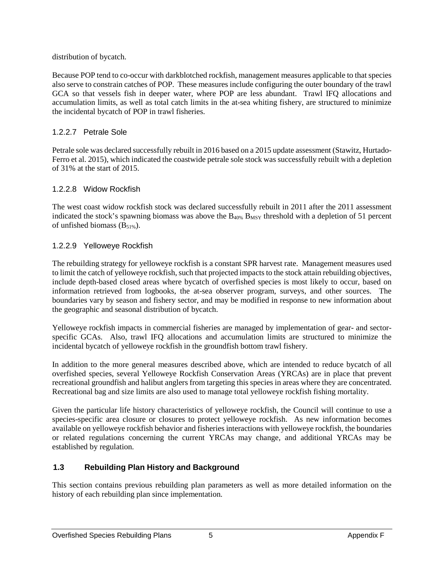distribution of bycatch.

Because POP tend to co-occur with darkblotched rockfish, management measures applicable to that species also serve to constrain catches of POP. These measures include configuring the outer boundary of the trawl GCA so that vessels fish in deeper water, where POP are less abundant. Trawl IFQ allocations and accumulation limits, as well as total catch limits in the at-sea whiting fishery, are structured to minimize the incidental bycatch of POP in trawl fisheries.

# 1.2.2.7 Petrale Sole

Petrale sole was declared successfully rebuilt in 2016 based on a 2015 update assessment [\(Stawitz, Hurtado-](#page-19-1)[Ferro et al. 2015\)](#page-19-1), which indicated the coastwide petrale sole stock was successfully rebuilt with a depletion of 31% at the start of 2015.

# 1.2.2.8 Widow Rockfish

The west coast widow rockfish stock was declared successfully rebuilt in 2011 after the 2011 assessment indicated the stock's spawning biomass was above the  $B_{40\%}$   $B_{MSY}$  threshold with a depletion of 51 percent of unfished biomass  $(B_{51\%})$ .

# 1.2.2.9 Yelloweye Rockfish

The rebuilding strategy for yelloweye rockfish is a constant SPR harvest rate. Management measures used to limit the catch of yelloweye rockfish, such that projected impacts to the stock attain rebuilding objectives, include depth-based closed areas where bycatch of overfished species is most likely to occur, based on information retrieved from logbooks, the at-sea observer program, surveys, and other sources. The boundaries vary by season and fishery sector, and may be modified in response to new information about the geographic and seasonal distribution of bycatch.

Yelloweye rockfish impacts in commercial fisheries are managed by implementation of gear- and sectorspecific GCAs. Also, trawl IFQ allocations and accumulation limits are structured to minimize the incidental bycatch of yelloweye rockfish in the groundfish bottom trawl fishery.

In addition to the more general measures described above, which are intended to reduce bycatch of all overfished species, several Yelloweye Rockfish Conservation Areas (YRCAs) are in place that prevent recreational groundfish and halibut anglers from targeting this species in areas where they are concentrated. Recreational bag and size limits are also used to manage total yelloweye rockfish fishing mortality.

Given the particular life history characteristics of yelloweye rockfish, the Council will continue to use a species-specific area closure or closures to protect yelloweye rockfish. As new information becomes available on yelloweye rockfish behavior and fisheries interactions with yelloweye rockfish, the boundaries or related regulations concerning the current YRCAs may change, and additional YRCAs may be established by regulation.

# **1.3 Rebuilding Plan History and Background**

This section contains previous rebuilding plan parameters as well as more detailed information on the history of each rebuilding plan since implementation.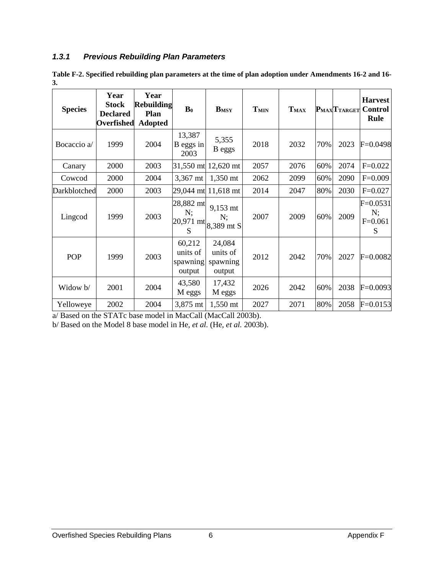# *1.3.1 Previous Rebuilding Plan Parameters*

<span id="page-5-0"></span>**Table F-2. Specified rebuilding plan parameters at the time of plan adoption under Amendments 16-2 and 16- 3.**

| <b>Species</b> | Year<br><b>Stock</b><br><b>Declared</b><br>Overfished | Year<br><b>Rebuilding</b><br>Plan<br><b>Adopted</b> | $\mathbf{B}_0$                           | $B_{MSY}$                                                   | $T_{MIN}$ | $T_{MAX}$ |     | $P_{MAX}$ T <sub>TARGET</sub> | <b>Harvest</b><br><b>Control</b><br>Rule |
|----------------|-------------------------------------------------------|-----------------------------------------------------|------------------------------------------|-------------------------------------------------------------|-----------|-----------|-----|-------------------------------|------------------------------------------|
| Bocaccio a/    | 1999                                                  | 2004                                                | 13,387<br>B eggs in<br>2003              | 5,355<br>B eggs                                             | 2018      | 2032      | 70% | 2023                          | $F=0.0498$                               |
| Canary         | 2000                                                  | 2003                                                |                                          | 31,550 mt 12,620 mt                                         | 2057      | 2076      | 60% | 2074                          | $F=0.022$                                |
| Cowcod         | 2000                                                  | 2004                                                | 3,367 mt                                 | 1,350 mt                                                    | 2062      | 2099      | 60% | 2090                          | $F=0.009$                                |
| Darkblotched   | 2000                                                  | 2003                                                |                                          | 29,044 mt 11,618 mt                                         | 2014      | 2047      | 80% | 2030                          | $F=0.027$                                |
| Lingcod        | 1999                                                  | 2003                                                | 28,882 mt<br>N;<br>S                     | 9,153 mt<br>N:<br>$ 20,971 \text{ mt} 8,389 \text{ mt } S $ | 2007      | 2009      | 60% | 2009                          | $F = 0.0531$<br>N;<br>$F=0.061$<br>S     |
| POP            | 1999                                                  | 2003                                                | 60,212<br>units of<br>spawning<br>output | 24,084<br>units of<br>spawning<br>output                    | 2012      | 2042      | 70% | 2027                          | $F = 0.0082$                             |
| Widow b/       | 2001                                                  | 2004                                                | 43,580<br>M eggs                         | 17,432<br>M eggs                                            | 2026      | 2042      | 60% | 2038                          | $F=0.0093$                               |
| Yelloweye      | 2002                                                  | 2004                                                | 3,875 mt                                 | 1,550 mt                                                    | 2027      | 2071      | 80% | 2058                          | $F=0.0153$                               |

a/ Based on the STATc base model in MacCall (MacCall 2003b).

b/ Based on the Model 8 base model in He, *et al.* (He, *et al.* 2003b).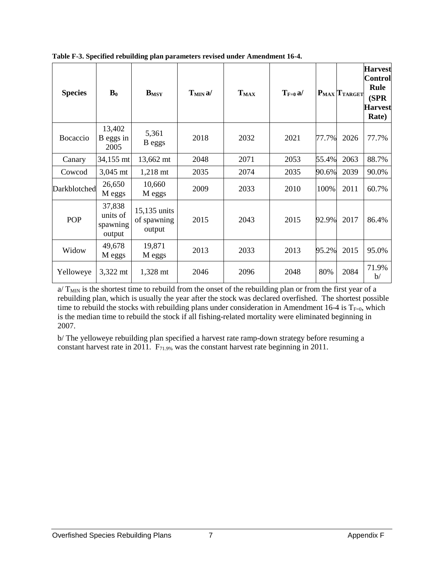| <b>Species</b> | $\mathbf{B}_0$                           | $B_{MSY}$                             | $T_{MIN}$ a/ | $T_{MAX}$ | $T_{F=0} a$ |       | $P_{MAX}$ $T_{TARGE}$ | <b>Harvest</b><br><b>Control</b><br>Rule<br>(SPR)<br><b>Harvest</b><br>Rate) |
|----------------|------------------------------------------|---------------------------------------|--------------|-----------|-------------|-------|-----------------------|------------------------------------------------------------------------------|
| Bocaccio       | 13,402<br>B eggs in<br>2005              | 5,361<br>B eggs                       | 2018         | 2032      | 2021        | 77.7% | 2026                  | 77.7%                                                                        |
| Canary         | 34,155 mt                                | 13,662 mt                             | 2048         | 2071      | 2053        | 55.4% | 2063                  | 88.7%                                                                        |
| Cowcod         | 3,045 mt                                 | $1,218 \text{ mt}$                    | 2035         | 2074      | 2035        | 90.6% | 2039                  | 90.0%                                                                        |
| Darkblotched   | 26,650<br>M eggs                         | 10,660<br>M eggs                      | 2009         | 2033      | 2010        | 100%  | 2011                  | 60.7%                                                                        |
| POP            | 37,838<br>units of<br>spawning<br>output | 15,135 units<br>of spawning<br>output | 2015         | 2043      | 2015        | 92.9% | 2017                  | 86.4%                                                                        |
| Widow          | 49,678<br>M eggs                         | 19,871<br>M eggs                      | 2013         | 2033      | 2013        | 95.2% | 2015                  | 95.0%                                                                        |
| Yelloweye      | 3,322 mt                                 | 1,328 mt                              | 2046         | 2096      | 2048        | 80%   | 2084                  | 71.9%<br>$\mathbf{b}$                                                        |

<span id="page-6-0"></span>**Table F-3. Specified rebuilding plan parameters revised under Amendment 16-4.**

 $a/T_{MIN}$  is the shortest time to rebuild from the onset of the rebuilding plan or from the first year of a rebuilding plan, which is usually the year after the stock was declared overfished. The shortest possible time to rebuild the stocks with rebuilding plans under consideration in Amendment 16-4 is  $T_{F=0}$ , which is the median time to rebuild the stock if all fishing-related mortality were eliminated beginning in 2007.

b/ The yelloweye rebuilding plan specified a harvest rate ramp-down strategy before resuming a constant harvest rate in 2011. F71.9% was the constant harvest rate beginning in 2011.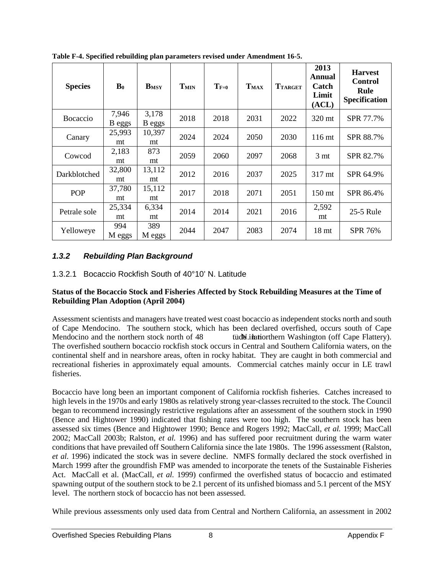| <b>Species</b>  | $\mathbf{B}_0$  | $B_{MSY}$       | T <sub>MIN</sub> | $T_{F=0}$ | T <sub>MAX</sub> | <b>TTARGET</b> | 2013<br>Annual<br>Catch<br>Limit<br>(ACL) | <b>Harvest</b><br><b>Control</b><br>Rule<br><b>Specification</b> |
|-----------------|-----------------|-----------------|------------------|-----------|------------------|----------------|-------------------------------------------|------------------------------------------------------------------|
| <b>Bocaccio</b> | 7,946<br>B eggs | 3,178<br>B eggs | 2018             | 2018      | 2031             | 2022           | 320 mt                                    | SPR 77.7%                                                        |
| Canary          | 25,993<br>mt    | 10,397<br>mt    | 2024             | 2024      | 2050             | 2030           | 116 mt                                    | SPR 88.7%                                                        |
| Cowcod          | 2,183<br>mt     | 873<br>mt       | 2059             | 2060      | 2097             | 2068           | 3 <sub>mt</sub>                           | SPR 82.7%                                                        |
| Darkblotched    | 32,800<br>mt    | 13,112<br>mt    | 2012             | 2016      | 2037             | 2025           | 317 mt                                    | SPR 64.9%                                                        |
| <b>POP</b>      | 37,780<br>mt    | 15,112<br>mt    | 2017             | 2018      | 2071             | 2051           | 150 <sub>mt</sub>                         | SPR 86.4%                                                        |
| Petrale sole    | 25,334<br>mt    | 6,334<br>mt     | 2014             | 2014      | 2021             | 2016           | 2,592<br>mt                               | 25-5 Rule                                                        |
| Yelloweye       | 994<br>M eggs   | 389<br>M eggs   | 2044             | 2047      | 2083             | 2074           | 18 <sub>mt</sub>                          | SPR 76%                                                          |

**Table F-4. Specified rebuilding plan parameters revised under Amendment 16-5.**

# *1.3.2 Rebuilding Plan Background*

# 1.3.2.1 Bocaccio Rockfish South of 40°10' N. Latitude

#### **Status of the Bocaccio Stock and Fisheries Affected by Stock Rebuilding Measures at the Time of Rebuilding Plan Adoption (April 2004)**

Assessment scientists and managers have treated west coast bocaccio as independent stocks north and south of Cape Mendocino. The southern stock, which has been declared overfished, occurs south of Cape Mendocino and the northern stock north of 48 fude interval intervals in Nashington (off Cape Flattery). The overfished southern bocaccio rockfish stock occurs in Central and Southern California waters, on the continental shelf and in nearshore areas, often in rocky habitat. They are caught in both commercial and recreational fisheries in approximately equal amounts. Commercial catches mainly occur in LE trawl fisheries.

Bocaccio have long been an important component of California rockfish fisheries. Catches increased to high levels in the 1970s and early 1980s as relatively strong year-classes recruited to the stock. The Council began to recommend increasingly restrictive regulations after an assessment of the southern stock in 1990 (Bence and Hightower 1990) indicated that fishing rates were too high. The southern stock has been assessed six times (Bence and Hightower 1990; Bence and Rogers 1992; MacCall, *et al.* 1999; MacCall 2002; MacCall 2003b; Ralston, *et al.* 1996) and has suffered poor recruitment during the warm water conditions that have prevailed off Southern California since the late 1980s. The 1996 assessment (Ralston, *et al.* 1996) indicated the stock was in severe decline. NMFS formally declared the stock overfished in March 1999 after the groundfish FMP was amended to incorporate the tenets of the Sustainable Fisheries Act. MacCall et al. (MacCall, *et al.* 1999) confirmed the overfished status of bocaccio and estimated spawning output of the southern stock to be 2.1 percent of its unfished biomass and 5.1 percent of the MSY level. The northern stock of bocaccio has not been assessed.

While previous assessments only used data from Central and Northern California, an assessment in 2002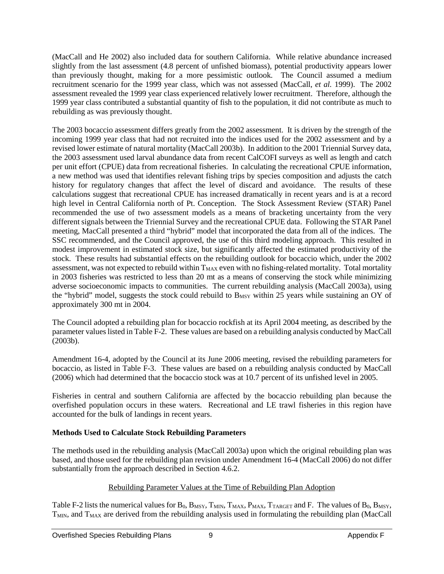(MacCall and He 2002) also included data for southern California. While relative abundance increased slightly from the last assessment (4.8 percent of unfished biomass), potential productivity appears lower than previously thought, making for a more pessimistic outlook. The Council assumed a medium recruitment scenario for the 1999 year class, which was not assessed (MacCall, *et al.* 1999). The 2002 assessment revealed the 1999 year class experienced relatively lower recruitment. Therefore, although the 1999 year class contributed a substantial quantity of fish to the population, it did not contribute as much to rebuilding as was previously thought.

The 2003 bocaccio assessment differs greatly from the 2002 assessment. It is driven by the strength of the incoming 1999 year class that had not recruited into the indices used for the 2002 assessment and by a revised lower estimate of natural mortality (MacCall 2003b). In addition to the 2001 Triennial Survey data, the 2003 assessment used larval abundance data from recent CalCOFI surveys as well as length and catch per unit effort (CPUE) data from recreational fisheries. In calculating the recreational CPUE information, a new method was used that identifies relevant fishing trips by species composition and adjusts the catch history for regulatory changes that affect the level of discard and avoidance. The results of these calculations suggest that recreational CPUE has increased dramatically in recent years and is at a record high level in Central California north of Pt. Conception. The Stock Assessment Review (STAR) Panel recommended the use of two assessment models as a means of bracketing uncertainty from the very different signals between the Triennial Survey and the recreational CPUE data. Following the STAR Panel meeting, MacCall presented a third "hybrid" model that incorporated the data from all of the indices. The SSC recommended, and the Council approved, the use of this third modeling approach. This resulted in modest improvement in estimated stock size, but significantly affected the estimated productivity of the stock. These results had substantial effects on the rebuilding outlook for bocaccio which, under the 2002 assessment, was not expected to rebuild within  $T_{MAX}$  even with no fishing-related mortality. Total mortality in 2003 fisheries was restricted to less than 20 mt as a means of conserving the stock while minimizing adverse socioeconomic impacts to communities. The current rebuilding analysis (MacCall 2003a), using the "hybrid" model, suggests the stock could rebuild to B<sub>MSY</sub> within 25 years while sustaining an OY of approximately 300 mt in 2004.

The Council adopted a rebuilding plan for bocaccio rockfish at its April 2004 meeting, as described by the parameter values listed i[n Table F-2.](#page-5-0) These values are based on a rebuilding analysis conducted by MacCall (2003b).

Amendment 16-4, adopted by the Council at its June 2006 meeting, revised the rebuilding parameters for bocaccio, as listed in [Table F-3.](#page-6-0) These values are based on a rebuilding analysis conducted by MacCall (2006) which had determined that the bocaccio stock was at 10.7 percent of its unfished level in 2005.

Fisheries in central and southern California are affected by the bocaccio rebuilding plan because the overfished population occurs in these waters. Recreational and LE trawl fisheries in this region have accounted for the bulk of landings in recent years.

#### **Methods Used to Calculate Stock Rebuilding Parameters**

The methods used in the rebuilding analysis (MacCall 2003a) upon which the original rebuilding plan was based, and those used for the rebuilding plan revision under Amendment 16-4 (MacCall 2006) do not differ substantially from the approach described in Section 4.6.2.

#### Rebuilding Parameter Values at the Time of Rebuilding Plan Adoption

[Table F-2](#page-5-0) lists the numerical values for  $B_0$ ,  $B_{MSY}$ ,  $T_{MIN}$ ,  $T_{MAX}$ ,  $P_{MAX}$ ,  $T_{TARGET}$  and F. The values of  $B_0$ ,  $B_{MSY}$ , T<sub>MIN</sub>, and T<sub>MAX</sub> are derived from the rebuilding analysis used in formulating the rebuilding plan (MacCall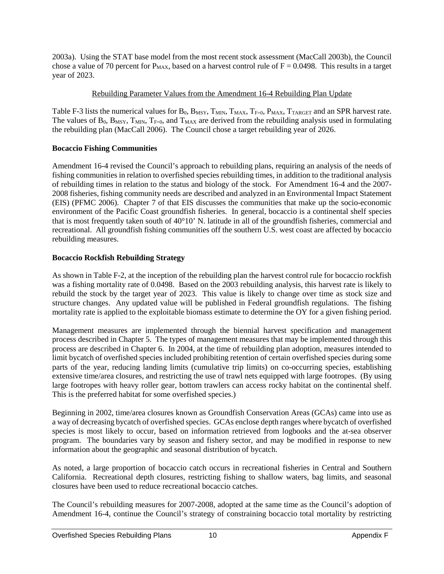2003a). Using the STAT base model from the most recent stock assessment (MacCall 2003b), the Council chose a value of 70 percent for  $P_{MAX}$ , based on a harvest control rule of  $F = 0.0498$ . This results in a target year of 2023.

#### Rebuilding Parameter Values from the Amendment 16-4 Rebuilding Plan Update

[Table F-3](#page-6-0) lists the numerical values for  $B_0$ ,  $B_{MSY}$ ,  $T_{MIN}$ ,  $T_{MAX}$ ,  $T_{F=0}$ ,  $P_{MAX}$ ,  $T_{TARGE}$  and an SPR harvest rate. The values of  $B_0$ ,  $B_{MSY}$ ,  $T_{MIN}$ ,  $T_{F=0}$ , and  $T_{MAX}$  are derived from the rebuilding analysis used in formulating the rebuilding plan (MacCall 2006). The Council chose a target rebuilding year of 2026.

#### **Bocaccio Fishing Communities**

Amendment 16-4 revised the Council's approach to rebuilding plans, requiring an analysis of the needs of fishing communities in relation to overfished species rebuilding times, in addition to the traditional analysis of rebuilding times in relation to the status and biology of the stock. For Amendment 16-4 and the 2007- 2008 fisheries, fishing community needs are described and analyzed in an Environmental Impact Statement (EIS) (PFMC 2006). Chapter 7 of that EIS discusses the communities that make up the socio-economic environment of the Pacific Coast groundfish fisheries. In general, bocaccio is a continental shelf species that is most frequently taken south of 40°10' N. latitude in all of the groundfish fisheries, commercial and recreational. All groundfish fishing communities off the southern U.S. west coast are affected by bocaccio rebuilding measures.

#### **Bocaccio Rockfish Rebuilding Strategy**

As shown in [Table F-2,](#page-5-0) at the inception of the rebuilding plan the harvest control rule for bocaccio rockfish was a fishing mortality rate of 0.0498. Based on the 2003 rebuilding analysis, this harvest rate is likely to rebuild the stock by the target year of 2023. This value is likely to change over time as stock size and structure changes. Any updated value will be published in Federal groundfish regulations. The fishing mortality rate is applied to the exploitable biomass estimate to determine the OY for a given fishing period.

Management measures are implemented through the biennial harvest specification and management process described in Chapter 5. The types of management measures that may be implemented through this process are described in Chapter 6. In 2004, at the time of rebuilding plan adoption, measures intended to limit bycatch of overfished species included prohibiting retention of certain overfished species during some parts of the year, reducing landing limits (cumulative trip limits) on co-occurring species, establishing extensive time/area closures, and restricting the use of trawl nets equipped with large footropes. (By using large footropes with heavy roller gear, bottom trawlers can access rocky habitat on the continental shelf. This is the preferred habitat for some overfished species.)

Beginning in 2002, time/area closures known as Groundfish Conservation Areas (GCAs) came into use as a way of decreasing bycatch of overfished species. GCAs enclose depth ranges where bycatch of overfished species is most likely to occur, based on information retrieved from logbooks and the at-sea observer program. The boundaries vary by season and fishery sector, and may be modified in response to new information about the geographic and seasonal distribution of bycatch.

As noted, a large proportion of bocaccio catch occurs in recreational fisheries in Central and Southern California. Recreational depth closures, restricting fishing to shallow waters, bag limits, and seasonal closures have been used to reduce recreational bocaccio catches.

The Council's rebuilding measures for 2007-2008, adopted at the same time as the Council's adoption of Amendment 16-4, continue the Council's strategy of constraining bocaccio total mortality by restricting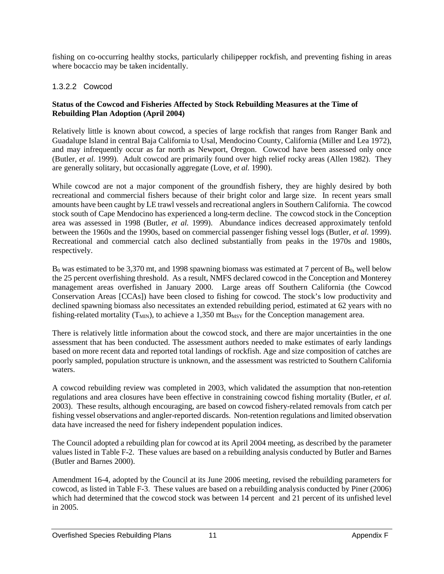fishing on co-occurring healthy stocks, particularly chilipepper rockfish, and preventing fishing in areas where bocaccio may be taken incidentally.

# 1.3.2.2 Cowcod

#### **Status of the Cowcod and Fisheries Affected by Stock Rebuilding Measures at the Time of Rebuilding Plan Adoption (April 2004)**

Relatively little is known about cowcod, a species of large rockfish that ranges from Ranger Bank and Guadalupe Island in central Baja California to Usal, Mendocino County, California (Miller and Lea 1972), and may infrequently occur as far north as Newport, Oregon. Cowcod have been assessed only once (Butler, *et al.* 1999). Adult cowcod are primarily found over high relief rocky areas (Allen 1982). They are generally solitary, but occasionally aggregate (Love, *et al.* 1990).

While cowcod are not a major component of the groundfish fishery, they are highly desired by both recreational and commercial fishers because of their bright color and large size. In recent years small amounts have been caught by LE trawl vessels and recreational anglers in Southern California. The cowcod stock south of Cape Mendocino has experienced a long-term decline. The cowcod stock in the Conception area was assessed in 1998 (Butler, *et al.* 1999). Abundance indices decreased approximately tenfold between the 1960s and the 1990s, based on commercial passenger fishing vessel logs (Butler, *et al.* 1999). Recreational and commercial catch also declined substantially from peaks in the 1970s and 1980s, respectively.

 $B_0$  was estimated to be 3,370 mt, and 1998 spawning biomass was estimated at 7 percent of  $B_0$ , well below the 25 percent overfishing threshold. As a result, NMFS declared cowcod in the Conception and Monterey management areas overfished in January 2000. Large areas off Southern California (the Cowcod Conservation Areas [CCAs]) have been closed to fishing for cowcod. The stock's low productivity and declined spawning biomass also necessitates an extended rebuilding period, estimated at 62 years with no fishing-related mortality ( $T_{MIN}$ ), to achieve a 1,350 mt  $B_{MSY}$  for the Conception management area.

There is relatively little information about the cowcod stock, and there are major uncertainties in the one assessment that has been conducted. The assessment authors needed to make estimates of early landings based on more recent data and reported total landings of rockfish. Age and size composition of catches are poorly sampled, population structure is unknown, and the assessment was restricted to Southern California waters.

A cowcod rebuilding review was completed in 2003, which validated the assumption that non-retention regulations and area closures have been effective in constraining cowcod fishing mortality (Butler, *et al.* 2003). These results, although encouraging, are based on cowcod fishery-related removals from catch per fishing vessel observations and angler-reported discards. Non-retention regulations and limited observation data have increased the need for fishery independent population indices.

The Council adopted a rebuilding plan for cowcod at its April 2004 meeting, as described by the parameter values listed in [Table F-2.](#page-5-0) These values are based on a rebuilding analysis conducted by Butler and Barnes (Butler and Barnes 2000).

Amendment 16-4, adopted by the Council at its June 2006 meeting, revised the rebuilding parameters for cowcod, as listed in [Table F-3.](#page-6-0) These values are based on a rebuilding analysis conducted by Piner (2006) which had determined that the cowcod stock was between 14 percent and 21 percent of its unfished level in 2005.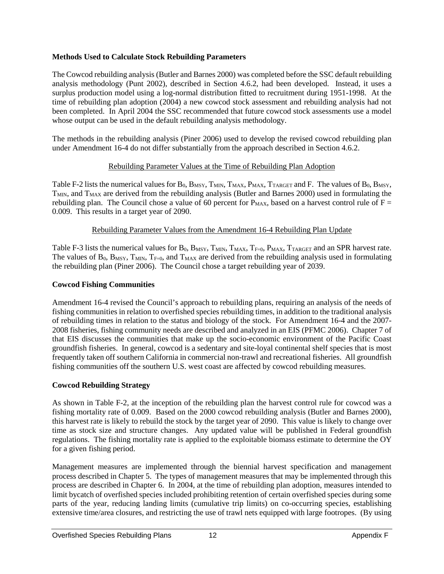#### **Methods Used to Calculate Stock Rebuilding Parameters**

The Cowcod rebuilding analysis (Butler and Barnes 2000) was completed before the SSC default rebuilding analysis methodology (Punt 2002), described in Section 4.6.2, had been developed. Instead, it uses a surplus production model using a log-normal distribution fitted to recruitment during 1951-1998. At the time of rebuilding plan adoption (2004) a new cowcod stock assessment and rebuilding analysis had not been completed. In April 2004 the SSC recommended that future cowcod stock assessments use a model whose output can be used in the default rebuilding analysis methodology.

The methods in the rebuilding analysis (Piner 2006) used to develop the revised cowcod rebuilding plan under Amendment 16-4 do not differ substantially from the approach described in Section 4.6.2.

#### Rebuilding Parameter Values at the Time of Rebuilding Plan Adoption

[Table F-2](#page-5-0) lists the numerical values for  $B_0$ ,  $B_{MSY}$ ,  $T_{MIN}$ ,  $T_{MAX}$ ,  $P_{MAX}$ ,  $T_{TARGET}$  and F. The values of  $B_0$ ,  $B_{MSY}$ ,  $T<sub>MIN</sub>$ , and  $T<sub>MAX</sub>$  are derived from the rebuilding analysis (Butler and Barnes 2000) used in formulating the rebuilding plan. The Council chose a value of 60 percent for  $P_{MAX}$ , based on a harvest control rule of  $F =$ 0.009. This results in a target year of 2090.

#### Rebuilding Parameter Values from the Amendment 16-4 Rebuilding Plan Update

[Table F-3](#page-6-0) lists the numerical values for  $B_0$ ,  $B_{MSY}$ ,  $T_{MIN}$ ,  $T_{MAX}$ ,  $T_{F=0}$ ,  $P_{MAX}$ ,  $T_{TARGET}$  and an SPR harvest rate. The values of  $B_0$ ,  $B_{MSY}$ ,  $T_{MIN}$ ,  $T_{F=0}$ , and  $T_{MAX}$  are derived from the rebuilding analysis used in formulating the rebuilding plan (Piner 2006). The Council chose a target rebuilding year of 2039.

#### **Cowcod Fishing Communities**

Amendment 16-4 revised the Council's approach to rebuilding plans, requiring an analysis of the needs of fishing communities in relation to overfished species rebuilding times, in addition to the traditional analysis of rebuilding times in relation to the status and biology of the stock. For Amendment 16-4 and the 2007- 2008 fisheries, fishing community needs are described and analyzed in an EIS (PFMC 2006). Chapter 7 of that EIS discusses the communities that make up the socio-economic environment of the Pacific Coast groundfish fisheries. In general, cowcod is a sedentary and site-loyal continental shelf species that is most frequently taken off southern California in commercial non-trawl and recreational fisheries. All groundfish fishing communities off the southern U.S. west coast are affected by cowcod rebuilding measures.

#### **Cowcod Rebuilding Strategy**

As shown in [Table F-2,](#page-5-0) at the inception of the rebuilding plan the harvest control rule for cowcod was a fishing mortality rate of 0.009. Based on the 2000 cowcod rebuilding analysis (Butler and Barnes 2000), this harvest rate is likely to rebuild the stock by the target year of 2090. This value is likely to change over time as stock size and structure changes. Any updated value will be published in Federal groundfish regulations. The fishing mortality rate is applied to the exploitable biomass estimate to determine the OY for a given fishing period.

Management measures are implemented through the biennial harvest specification and management process described in Chapter 5. The types of management measures that may be implemented through this process are described in Chapter 6. In 2004, at the time of rebuilding plan adoption, measures intended to limit bycatch of overfished species included prohibiting retention of certain overfished species during some parts of the year, reducing landing limits (cumulative trip limits) on co-occurring species, establishing extensive time/area closures, and restricting the use of trawl nets equipped with large footropes. (By using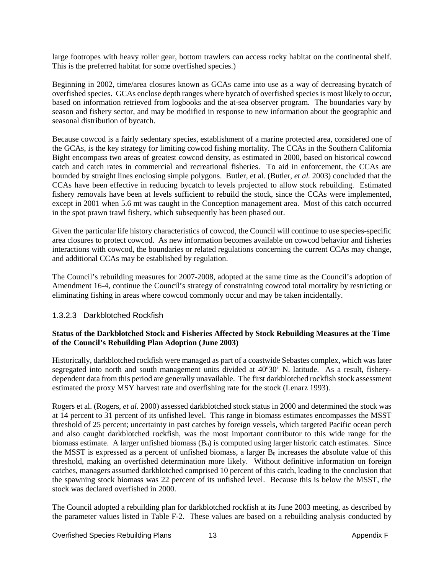large footropes with heavy roller gear, bottom trawlers can access rocky habitat on the continental shelf. This is the preferred habitat for some overfished species.)

Beginning in 2002, time/area closures known as GCAs came into use as a way of decreasing bycatch of overfished species. GCAs enclose depth ranges where bycatch of overfished species is most likely to occur, based on information retrieved from logbooks and the at-sea observer program. The boundaries vary by season and fishery sector, and may be modified in response to new information about the geographic and seasonal distribution of bycatch.

Because cowcod is a fairly sedentary species, establishment of a marine protected area, considered one of the GCAs, is the key strategy for limiting cowcod fishing mortality. The CCAs in the Southern California Bight encompass two areas of greatest cowcod density, as estimated in 2000, based on historical cowcod catch and catch rates in commercial and recreational fisheries. To aid in enforcement, the CCAs are bounded by straight lines enclosing simple polygons. Butler, et al. (Butler, *et al.* 2003) concluded that the CCAs have been effective in reducing bycatch to levels projected to allow stock rebuilding. Estimated fishery removals have been at levels sufficient to rebuild the stock, since the CCAs were implemented, except in 2001 when 5.6 mt was caught in the Conception management area. Most of this catch occurred in the spot prawn trawl fishery, which subsequently has been phased out.

Given the particular life history characteristics of cowcod, the Council will continue to use species-specific area closures to protect cowcod. As new information becomes available on cowcod behavior and fisheries interactions with cowcod, the boundaries or related regulations concerning the current CCAs may change, and additional CCAs may be established by regulation.

The Council's rebuilding measures for 2007-2008, adopted at the same time as the Council's adoption of Amendment 16-4, continue the Council's strategy of constraining cowcod total mortality by restricting or eliminating fishing in areas where cowcod commonly occur and may be taken incidentally.

#### 1.3.2.3 Darkblotched Rockfish

#### **Status of the Darkblotched Stock and Fisheries Affected by Stock Rebuilding Measures at the Time of the Council's Rebuilding Plan Adoption (June 2003)**

Historically, darkblotched rockfish were managed as part of a coastwide Sebastes complex, which was later segregated into north and south management units divided at 40º30' N. latitude. As a result, fisherydependent data from this period are generally unavailable. The first darkblotched rockfish stock assessment estimated the proxy MSY harvest rate and overfishing rate for the stock (Lenarz 1993).

Rogers et al. (Rogers, *et al.* 2000) assessed darkblotched stock status in 2000 and determined the stock was at 14 percent to 31 percent of its unfished level. This range in biomass estimates encompasses the MSST threshold of 25 percent; uncertainty in past catches by foreign vessels, which targeted Pacific ocean perch and also caught darkblotched rockfish, was the most important contributor to this wide range for the biomass estimate. A larger unfished biomass  $(B_0)$  is computed using larger historic catch estimates. Since the MSST is expressed as a percent of unfished biomass, a larger  $B_0$  increases the absolute value of this threshold, making an overfished determination more likely. Without definitive information on foreign catches, managers assumed darkblotched comprised 10 percent of this catch, leading to the conclusion that the spawning stock biomass was 22 percent of its unfished level. Because this is below the MSST, the stock was declared overfished in 2000.

The Council adopted a rebuilding plan for darkblotched rockfish at its June 2003 meeting, as described by the parameter values listed in [Table F-2.](#page-5-0) These values are based on a rebuilding analysis conducted by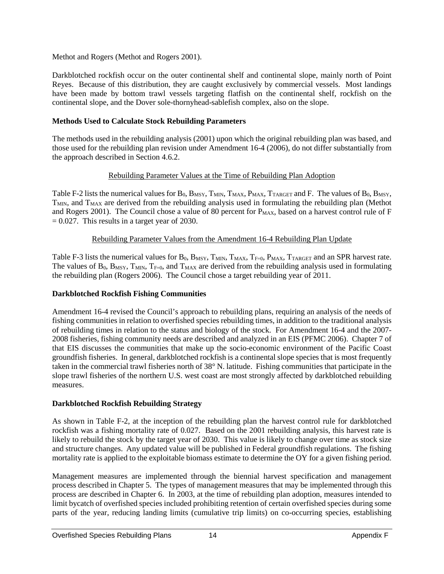Methot and Rogers (Methot and Rogers 2001).

Darkblotched rockfish occur on the outer continental shelf and continental slope, mainly north of Point Reyes. Because of this distribution, they are caught exclusively by commercial vessels. Most landings have been made by bottom trawl vessels targeting flatfish on the continental shelf, rockfish on the continental slope, and the Dover sole-thornyhead-sablefish complex, also on the slope.

#### **Methods Used to Calculate Stock Rebuilding Parameters**

The methods used in the rebuilding analysis (2001) upon which the original rebuilding plan was based, and those used for the rebuilding plan revision under Amendment 16-4 (2006), do not differ substantially from the approach described in Section 4.6.2.

# Rebuilding Parameter Values at the Time of Rebuilding Plan Adoption

[Table F-2](#page-5-0) lists the numerical values for  $B_0$ ,  $B_{MSY}$ ,  $T_{MIN}$ ,  $T_{MAX}$ ,  $P_{MAX}$ ,  $T_{TARGE}$  and F. The values of  $B_0$ ,  $B_{MSY}$ ,  $T<sub>MIN</sub>$ , and  $T<sub>MAX</sub>$  are derived from the rebuilding analysis used in formulating the rebuilding plan (Methot and Rogers 2001). The Council chose a value of 80 percent for  $P_{MAX}$ , based on a harvest control rule of F  $= 0.027$ . This results in a target year of 2030.

# Rebuilding Parameter Values from the Amendment 16-4 Rebuilding Plan Update

[Table F-3](#page-6-0) lists the numerical values for  $B_0$ ,  $B_{MSY}$ ,  $T_{MIN}$ ,  $T_{MAX}$ ,  $T_{F=0}$ ,  $P_{MAX}$ ,  $T_{TARGET}$  and an SPR harvest rate. The values of  $B_0$ ,  $B_{MSY}$ ,  $T_{MIN}$ ,  $T_{F=0}$ , and  $T_{MAX}$  are derived from the rebuilding analysis used in formulating the rebuilding plan (Rogers 2006). The Council chose a target rebuilding year of 2011.

#### **Darkblotched Rockfish Fishing Communities**

Amendment 16-4 revised the Council's approach to rebuilding plans, requiring an analysis of the needs of fishing communities in relation to overfished species rebuilding times, in addition to the traditional analysis of rebuilding times in relation to the status and biology of the stock. For Amendment 16-4 and the 2007- 2008 fisheries, fishing community needs are described and analyzed in an EIS (PFMC 2006). Chapter 7 of that EIS discusses the communities that make up the socio-economic environment of the Pacific Coast groundfish fisheries. In general, darkblotched rockfish is a continental slope species that is most frequently taken in the commercial trawl fisheries north of 38° N. latitude. Fishing communities that participate in the slope trawl fisheries of the northern U.S. west coast are most strongly affected by darkblotched rebuilding measures.

#### **Darkblotched Rockfish Rebuilding Strategy**

As shown in [Table F-2,](#page-5-0) at the inception of the rebuilding plan the harvest control rule for darkblotched rockfish was a fishing mortality rate of 0.027. Based on the 2001 rebuilding analysis, this harvest rate is likely to rebuild the stock by the target year of 2030. This value is likely to change over time as stock size and structure changes. Any updated value will be published in Federal groundfish regulations. The fishing mortality rate is applied to the exploitable biomass estimate to determine the OY for a given fishing period.

Management measures are implemented through the biennial harvest specification and management process described in Chapter 5. The types of management measures that may be implemented through this process are described in Chapter 6. In 2003, at the time of rebuilding plan adoption, measures intended to limit bycatch of overfished species included prohibiting retention of certain overfished species during some parts of the year, reducing landing limits (cumulative trip limits) on co-occurring species, establishing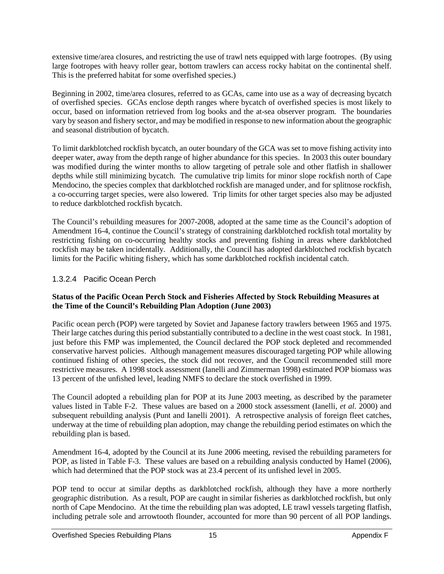extensive time/area closures, and restricting the use of trawl nets equipped with large footropes. (By using large footropes with heavy roller gear, bottom trawlers can access rocky habitat on the continental shelf. This is the preferred habitat for some overfished species.)

Beginning in 2002, time/area closures, referred to as GCAs, came into use as a way of decreasing bycatch of overfished species. GCAs enclose depth ranges where bycatch of overfished species is most likely to occur, based on information retrieved from log books and the at-sea observer program. The boundaries vary by season and fishery sector, and may be modified in response to new information about the geographic and seasonal distribution of bycatch.

To limit darkblotched rockfish bycatch, an outer boundary of the GCA was set to move fishing activity into deeper water, away from the depth range of higher abundance for this species. In 2003 this outer boundary was modified during the winter months to allow targeting of petrale sole and other flatfish in shallower depths while still minimizing bycatch. The cumulative trip limits for minor slope rockfish north of Cape Mendocino, the species complex that darkblotched rockfish are managed under, and for splitnose rockfish, a co-occurring target species, were also lowered. Trip limits for other target species also may be adjusted to reduce darkblotched rockfish bycatch.

The Council's rebuilding measures for 2007-2008, adopted at the same time as the Council's adoption of Amendment 16-4, continue the Council's strategy of constraining darkblotched rockfish total mortality by restricting fishing on co-occurring healthy stocks and preventing fishing in areas where darkblotched rockfish may be taken incidentally. Additionally, the Council has adopted darkblotched rockfish bycatch limits for the Pacific whiting fishery, which has some darkblotched rockfish incidental catch.

# 1.3.2.4 Pacific Ocean Perch

#### **Status of the Pacific Ocean Perch Stock and Fisheries Affected by Stock Rebuilding Measures at the Time of the Council's Rebuilding Plan Adoption (June 2003)**

Pacific ocean perch (POP) were targeted by Soviet and Japanese factory trawlers between 1965 and 1975. Their large catches during this period substantially contributed to a decline in the west coast stock. In 1981, just before this FMP was implemented, the Council declared the POP stock depleted and recommended conservative harvest policies. Although management measures discouraged targeting POP while allowing continued fishing of other species, the stock did not recover, and the Council recommended still more restrictive measures. A 1998 stock assessment (Ianelli and Zimmerman 1998) estimated POP biomass was 13 percent of the unfished level, leading NMFS to declare the stock overfished in 1999.

The Council adopted a rebuilding plan for POP at its June 2003 meeting, as described by the parameter values listed in [Table F-2.](#page-5-0) These values are based on a 2000 stock assessment (Ianelli, *et al.* 2000) and subsequent rebuilding analysis (Punt and Ianelli 2001). A retrospective analysis of foreign fleet catches, underway at the time of rebuilding plan adoption, may change the rebuilding period estimates on which the rebuilding plan is based.

Amendment 16-4, adopted by the Council at its June 2006 meeting, revised the rebuilding parameters for POP, as listed in [Table F-3.](#page-6-0) These values are based on a rebuilding analysis conducted by Hamel (2006), which had determined that the POP stock was at 23.4 percent of its unfished level in 2005.

POP tend to occur at similar depths as darkblotched rockfish, although they have a more northerly geographic distribution. As a result, POP are caught in similar fisheries as darkblotched rockfish, but only north of Cape Mendocino. At the time the rebuilding plan was adopted, LE trawl vessels targeting flatfish, including petrale sole and arrowtooth flounder, accounted for more than 90 percent of all POP landings.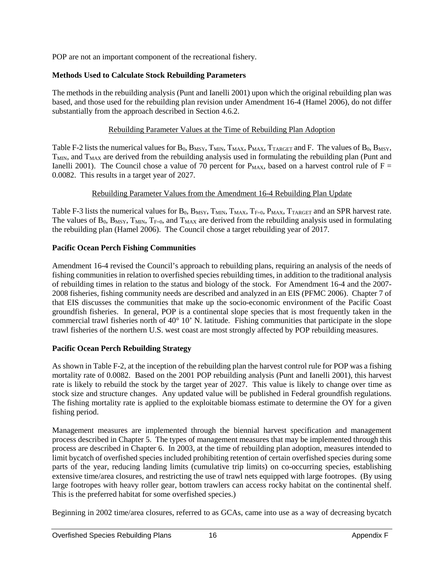POP are not an important component of the recreational fishery.

# **Methods Used to Calculate Stock Rebuilding Parameters**

The methods in the rebuilding analysis (Punt and Ianelli 2001) upon which the original rebuilding plan was based, and those used for the rebuilding plan revision under Amendment 16-4 (Hamel 2006), do not differ substantially from the approach described in Section 4.6.2.

# Rebuilding Parameter Values at the Time of Rebuilding Plan Adoption

[Table F-2](#page-5-0) lists the numerical values for  $B_0$ ,  $B_{MSY}$ ,  $T_{MIN}$ ,  $T_{MAX}$ ,  $P_{MAX}$ ,  $T_{TARGET}$  and F. The values of  $B_0$ ,  $B_{MSY}$ ,  $T<sub>MIN</sub>$ , and  $T<sub>MAX</sub>$  are derived from the rebuilding analysis used in formulating the rebuilding plan (Punt and Ianelli 2001). The Council chose a value of 70 percent for  $P_{MAX}$ , based on a harvest control rule of  $F =$ 0.0082. This results in a target year of 2027.

# Rebuilding Parameter Values from the Amendment 16-4 Rebuilding Plan Update

[Table F-3](#page-6-0) lists the numerical values for  $B_0$ ,  $B_{MSY}$ ,  $T_{MIN}$ ,  $T_{MAX}$ ,  $T_{F=0}$ ,  $P_{MAX}$ ,  $T_{TARGE}$  and an SPR harvest rate. The values of  $B_0$ ,  $B_{MSY}$ ,  $T_{MIN}$ ,  $T_{F=0}$ , and  $T_{MAX}$  are derived from the rebuilding analysis used in formulating the rebuilding plan (Hamel 2006). The Council chose a target rebuilding year of 2017.

# **Pacific Ocean Perch Fishing Communities**

Amendment 16-4 revised the Council's approach to rebuilding plans, requiring an analysis of the needs of fishing communities in relation to overfished species rebuilding times, in addition to the traditional analysis of rebuilding times in relation to the status and biology of the stock. For Amendment 16-4 and the 2007- 2008 fisheries, fishing community needs are described and analyzed in an EIS (PFMC 2006). Chapter 7 of that EIS discusses the communities that make up the socio-economic environment of the Pacific Coast groundfish fisheries. In general, POP is a continental slope species that is most frequently taken in the commercial trawl fisheries north of 40° 10' N. latitude. Fishing communities that participate in the slope trawl fisheries of the northern U.S. west coast are most strongly affected by POP rebuilding measures.

# **Pacific Ocean Perch Rebuilding Strategy**

As shown i[n Table F-2,](#page-5-0) at the inception of the rebuilding plan the harvest control rule for POP was a fishing mortality rate of 0.0082. Based on the 2001 POP rebuilding analysis (Punt and Ianelli 2001), this harvest rate is likely to rebuild the stock by the target year of 2027. This value is likely to change over time as stock size and structure changes. Any updated value will be published in Federal groundfish regulations. The fishing mortality rate is applied to the exploitable biomass estimate to determine the OY for a given fishing period.

Management measures are implemented through the biennial harvest specification and management process described in Chapter 5. The types of management measures that may be implemented through this process are described in Chapter 6. In 2003, at the time of rebuilding plan adoption, measures intended to limit bycatch of overfished species included prohibiting retention of certain overfished species during some parts of the year, reducing landing limits (cumulative trip limits) on co-occurring species, establishing extensive time/area closures, and restricting the use of trawl nets equipped with large footropes. (By using large footropes with heavy roller gear, bottom trawlers can access rocky habitat on the continental shelf. This is the preferred habitat for some overfished species.)

Beginning in 2002 time/area closures, referred to as GCAs, came into use as a way of decreasing bycatch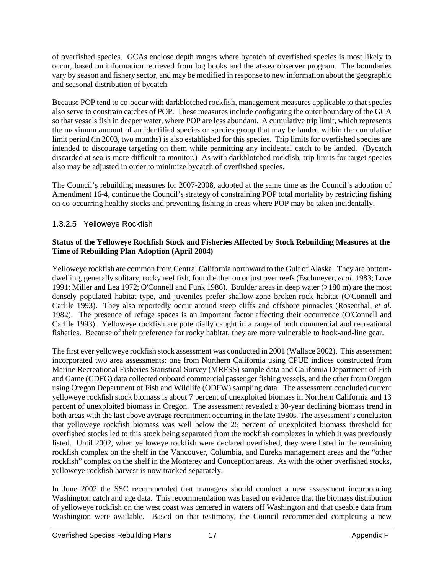of overfished species. GCAs enclose depth ranges where bycatch of overfished species is most likely to occur, based on information retrieved from log books and the at-sea observer program. The boundaries vary by season and fishery sector, and may be modified in response to new information about the geographic and seasonal distribution of bycatch.

Because POP tend to co-occur with darkblotched rockfish, management measures applicable to that species also serve to constrain catches of POP. These measures include configuring the outer boundary of the GCA so that vessels fish in deeper water, where POP are less abundant. A cumulative trip limit, which represents the maximum amount of an identified species or species group that may be landed within the cumulative limit period (in 2003, two months) is also established for this species. Trip limits for overfished species are intended to discourage targeting on them while permitting any incidental catch to be landed. (Bycatch discarded at sea is more difficult to monitor.) As with darkblotched rockfish, trip limits for target species also may be adjusted in order to minimize bycatch of overfished species.

The Council's rebuilding measures for 2007-2008, adopted at the same time as the Council's adoption of Amendment 16-4, continue the Council's strategy of constraining POP total mortality by restricting fishing on co-occurring healthy stocks and preventing fishing in areas where POP may be taken incidentally.

# 1.3.2.5 Yelloweye Rockfish

#### **Status of the Yelloweye Rockfish Stock and Fisheries Affected by Stock Rebuilding Measures at the Time of Rebuilding Plan Adoption (April 2004)**

Yelloweye rockfish are common from Central California northward to the Gulf of Alaska. They are bottomdwelling, generally solitary, rocky reef fish, found either on or just over reefs (Eschmeyer, *et al.* 1983; Love 1991; Miller and Lea 1972; O'Connell and Funk 1986). Boulder areas in deep water (>180 m) are the most densely populated habitat type, and juveniles prefer shallow-zone broken-rock habitat (O'Connell and Carlile 1993). They also reportedly occur around steep cliffs and offshore pinnacles (Rosenthal, *et al.* 1982). The presence of refuge spaces is an important factor affecting their occurrence (O'Connell and Carlile 1993). Yelloweye rockfish are potentially caught in a range of both commercial and recreational fisheries. Because of their preference for rocky habitat, they are more vulnerable to hook-and-line gear.

The first ever yelloweye rockfish stock assessment was conducted in 2001 (Wallace 2002). This assessment incorporated two area assessments: one from Northern California using CPUE indices constructed from Marine Recreational Fisheries Statistical Survey (MRFSS) sample data and California Department of Fish and Game (CDFG) data collected onboard commercial passenger fishing vessels, and the other from Oregon using Oregon Department of Fish and Wildlife (ODFW) sampling data. The assessment concluded current yelloweye rockfish stock biomass is about 7 percent of unexploited biomass in Northern California and 13 percent of unexploited biomass in Oregon. The assessment revealed a 30-year declining biomass trend in both areas with the last above average recruitment occurring in the late 1980s. The assessment's conclusion that yelloweye rockfish biomass was well below the 25 percent of unexploited biomass threshold for overfished stocks led to this stock being separated from the rockfish complexes in which it was previously listed. Until 2002, when yelloweye rockfish were declared overfished, they were listed in the remaining rockfish complex on the shelf in the Vancouver, Columbia, and Eureka management areas and the "other rockfish" complex on the shelf in the Monterey and Conception areas. As with the other overfished stocks, yelloweye rockfish harvest is now tracked separately.

In June 2002 the SSC recommended that managers should conduct a new assessment incorporating Washington catch and age data. This recommendation was based on evidence that the biomass distribution of yelloweye rockfish on the west coast was centered in waters off Washington and that useable data from Washington were available. Based on that testimony, the Council recommended completing a new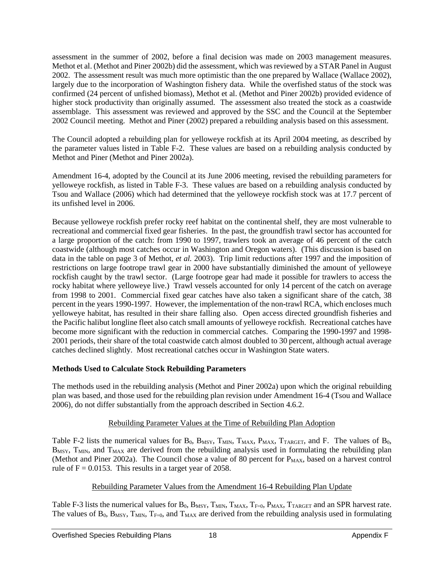assessment in the summer of 2002, before a final decision was made on 2003 management measures. Methot et al. (Methot and Piner 2002b) did the assessment, which was reviewed by a STAR Panel in August 2002. The assessment result was much more optimistic than the one prepared by Wallace (Wallace 2002), largely due to the incorporation of Washington fishery data. While the overfished status of the stock was confirmed (24 percent of unfished biomass), Methot et al. (Methot and Piner 2002b) provided evidence of higher stock productivity than originally assumed. The assessment also treated the stock as a coastwide assemblage. This assessment was reviewed and approved by the SSC and the Council at the September 2002 Council meeting. Methot and Piner (2002) prepared a rebuilding analysis based on this assessment.

The Council adopted a rebuilding plan for yelloweye rockfish at its April 2004 meeting, as described by the parameter values listed in [Table F-2.](#page-5-0) These values are based on a rebuilding analysis conducted by Methot and Piner (Methot and Piner 2002a).

Amendment 16-4, adopted by the Council at its June 2006 meeting, revised the rebuilding parameters for yelloweye rockfish, as listed in [Table F-3.](#page-6-0) These values are based on a rebuilding analysis conducted by Tsou and Wallace (2006) which had determined that the yelloweye rockfish stock was at 17.7 percent of its unfished level in 2006.

Because yelloweye rockfish prefer rocky reef habitat on the continental shelf, they are most vulnerable to recreational and commercial fixed gear fisheries. In the past, the groundfish trawl sector has accounted for a large proportion of the catch: from 1990 to 1997, trawlers took an average of 46 percent of the catch coastwide (although most catches occur in Washington and Oregon waters). (This discussion is based on data in the table on page 3 of Methot, *et al.* 2003). Trip limit reductions after 1997 and the imposition of restrictions on large footrope trawl gear in 2000 have substantially diminished the amount of yelloweye rockfish caught by the trawl sector. (Large footrope gear had made it possible for trawlers to access the rocky habitat where yelloweye live.) Trawl vessels accounted for only 14 percent of the catch on average from 1998 to 2001. Commercial fixed gear catches have also taken a significant share of the catch, 38 percent in the years 1990-1997. However, the implementation of the non-trawl RCA, which encloses much yelloweye habitat, has resulted in their share falling also. Open access directed groundfish fisheries and the Pacific halibut longline fleet also catch small amounts of yelloweye rockfish. Recreational catches have become more significant with the reduction in commercial catches. Comparing the 1990-1997 and 1998- 2001 periods, their share of the total coastwide catch almost doubled to 30 percent, although actual average catches declined slightly. Most recreational catches occur in Washington State waters.

#### **Methods Used to Calculate Stock Rebuilding Parameters**

The methods used in the rebuilding analysis (Methot and Piner 2002a) upon which the original rebuilding plan was based, and those used for the rebuilding plan revision under Amendment 16-4 (Tsou and Wallace 2006), do not differ substantially from the approach described in Section 4.6.2.

# Rebuilding Parameter Values at the Time of Rebuilding Plan Adoption

[Table F-2](#page-5-0) lists the numerical values for  $B_0$ ,  $B_{MSY}$ ,  $T_{MIN}$ ,  $T_{MAX}$ ,  $P_{MAX}$ ,  $T_{TARGET}$ , and F. The values of  $B_0$ , B<sub>MSY</sub>, T<sub>MIN</sub>, and T<sub>MAX</sub> are derived from the rebuilding analysis used in formulating the rebuilding plan (Methot and Piner 2002a). The Council chose a value of 80 percent for  $P_{MAX}$ , based on a harvest control rule of  $F = 0.0153$ . This results in a target year of 2058.

# Rebuilding Parameter Values from the Amendment 16-4 Rebuilding Plan Update

[Table F-3](#page-6-0) lists the numerical values for  $B_0$ ,  $B_{MSY}$ ,  $T_{MIN}$ ,  $T_{MAX}$ ,  $T_{F=0}$ ,  $P_{MAX}$ ,  $T_{TARGET}$  and an SPR harvest rate. The values of  $B_0$ ,  $B_{MSY}$ ,  $T_{MIN}$ ,  $T_{F=0}$ , and  $T_{MAX}$  are derived from the rebuilding analysis used in formulating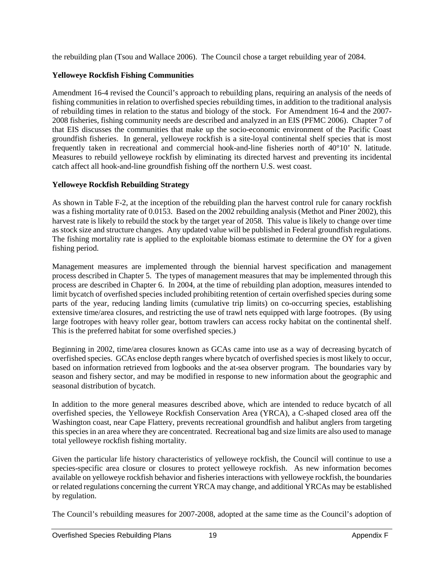the rebuilding plan (Tsou and Wallace 2006). The Council chose a target rebuilding year of 2084.

#### **Yelloweye Rockfish Fishing Communities**

Amendment 16-4 revised the Council's approach to rebuilding plans, requiring an analysis of the needs of fishing communities in relation to overfished species rebuilding times, in addition to the traditional analysis of rebuilding times in relation to the status and biology of the stock. For Amendment 16-4 and the 2007- 2008 fisheries, fishing community needs are described and analyzed in an EIS (PFMC 2006). Chapter 7 of that EIS discusses the communities that make up the socio-economic environment of the Pacific Coast groundfish fisheries. In general, yelloweye rockfish is a site-loyal continental shelf species that is most frequently taken in recreational and commercial hook-and-line fisheries north of 40°10' N. latitude. Measures to rebuild yelloweye rockfish by eliminating its directed harvest and preventing its incidental catch affect all hook-and-line groundfish fishing off the northern U.S. west coast.

#### **Yelloweye Rockfish Rebuilding Strategy**

As shown in [Table F-2,](#page-5-0) at the inception of the rebuilding plan the harvest control rule for canary rockfish was a fishing mortality rate of 0.0153. Based on the 2002 rebuilding analysis (Methot and Piner 2002), this harvest rate is likely to rebuild the stock by the target year of 2058. This value is likely to change over time as stock size and structure changes. Any updated value will be published in Federal groundfish regulations. The fishing mortality rate is applied to the exploitable biomass estimate to determine the OY for a given fishing period.

Management measures are implemented through the biennial harvest specification and management process described in Chapter 5. The types of management measures that may be implemented through this process are described in Chapter 6. In 2004, at the time of rebuilding plan adoption, measures intended to limit bycatch of overfished species included prohibiting retention of certain overfished species during some parts of the year, reducing landing limits (cumulative trip limits) on co-occurring species, establishing extensive time/area closures, and restricting the use of trawl nets equipped with large footropes. (By using large footropes with heavy roller gear, bottom trawlers can access rocky habitat on the continental shelf. This is the preferred habitat for some overfished species.)

Beginning in 2002, time/area closures known as GCAs came into use as a way of decreasing bycatch of overfished species. GCAs enclose depth ranges where bycatch of overfished species is most likely to occur, based on information retrieved from logbooks and the at-sea observer program. The boundaries vary by season and fishery sector, and may be modified in response to new information about the geographic and seasonal distribution of bycatch.

In addition to the more general measures described above, which are intended to reduce bycatch of all overfished species, the Yelloweye Rockfish Conservation Area (YRCA), a C-shaped closed area off the Washington coast, near Cape Flattery, prevents recreational groundfish and halibut anglers from targeting this species in an area where they are concentrated. Recreational bag and size limits are also used to manage total yelloweye rockfish fishing mortality.

Given the particular life history characteristics of yelloweye rockfish, the Council will continue to use a species-specific area closure or closures to protect yelloweye rockfish. As new information becomes available on yelloweye rockfish behavior and fisheries interactions with yelloweye rockfish, the boundaries or related regulations concerning the current YRCA may change, and additional YRCAs may be established by regulation.

The Council's rebuilding measures for 2007-2008, adopted at the same time as the Council's adoption of